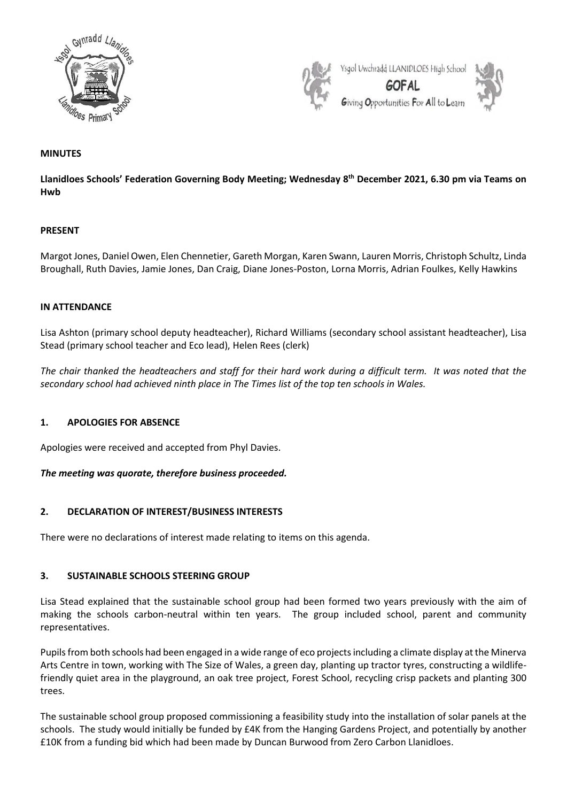



## **MINUTES**

**Llanidloes Schools' Federation Governing Body Meeting; Wednesday 8 th December 2021, 6.30 pm via Teams on Hwb**

#### **PRESENT**

Margot Jones, Daniel Owen, Elen Chennetier, Gareth Morgan, Karen Swann, Lauren Morris, Christoph Schultz, Linda Broughall, Ruth Davies, Jamie Jones, Dan Craig, Diane Jones-Poston, Lorna Morris, Adrian Foulkes, Kelly Hawkins

#### **IN ATTENDANCE**

Lisa Ashton (primary school deputy headteacher), Richard Williams (secondary school assistant headteacher), Lisa Stead (primary school teacher and Eco lead), Helen Rees (clerk)

*The chair thanked the headteachers and staff for their hard work during a difficult term. It was noted that the secondary school had achieved ninth place in The Times list of the top ten schools in Wales.*

### **1. APOLOGIES FOR ABSENCE**

Apologies were received and accepted from Phyl Davies.

### *The meeting was quorate, therefore business proceeded.*

### **2. DECLARATION OF INTEREST/BUSINESS INTERESTS**

There were no declarations of interest made relating to items on this agenda.

### **3. SUSTAINABLE SCHOOLS STEERING GROUP**

Lisa Stead explained that the sustainable school group had been formed two years previously with the aim of making the schools carbon-neutral within ten years. The group included school, parent and community representatives.

Pupils from both schools had been engaged in a wide range of eco projects including a climate display at the Minerva Arts Centre in town, working with The Size of Wales, a green day, planting up tractor tyres, constructing a wildlifefriendly quiet area in the playground, an oak tree project, Forest School, recycling crisp packets and planting 300 trees.

The sustainable school group proposed commissioning a feasibility study into the installation of solar panels at the schools. The study would initially be funded by £4K from the Hanging Gardens Project, and potentially by another £10K from a funding bid which had been made by Duncan Burwood from Zero Carbon Llanidloes.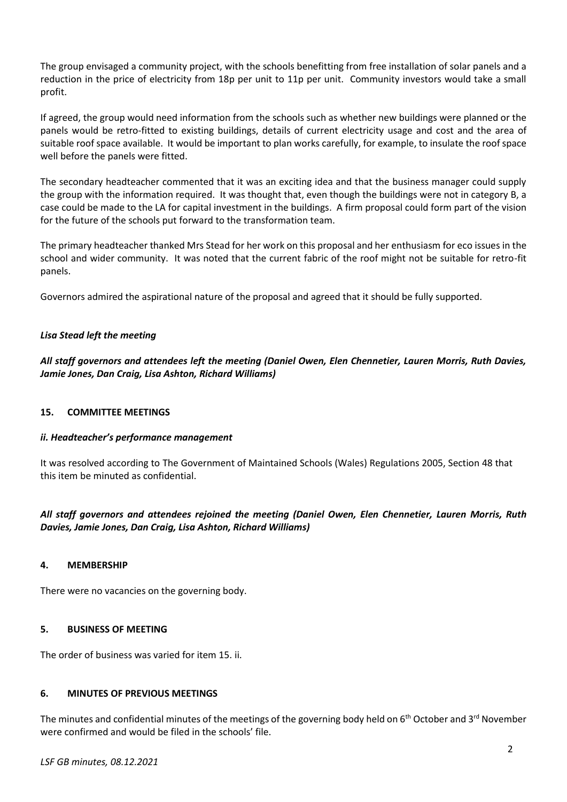The group envisaged a community project, with the schools benefitting from free installation of solar panels and a reduction in the price of electricity from 18p per unit to 11p per unit. Community investors would take a small profit.

If agreed, the group would need information from the schools such as whether new buildings were planned or the panels would be retro-fitted to existing buildings, details of current electricity usage and cost and the area of suitable roof space available. It would be important to plan works carefully, for example, to insulate the roof space well before the panels were fitted.

The secondary headteacher commented that it was an exciting idea and that the business manager could supply the group with the information required. It was thought that, even though the buildings were not in category B, a case could be made to the LA for capital investment in the buildings. A firm proposal could form part of the vision for the future of the schools put forward to the transformation team.

The primary headteacher thanked Mrs Stead for her work on this proposal and her enthusiasm for eco issues in the school and wider community. It was noted that the current fabric of the roof might not be suitable for retro-fit panels.

Governors admired the aspirational nature of the proposal and agreed that it should be fully supported.

## *Lisa Stead left the meeting*

*All staff governors and attendees left the meeting (Daniel Owen, Elen Chennetier, Lauren Morris, Ruth Davies, Jamie Jones, Dan Craig, Lisa Ashton, Richard Williams)*

### **15. COMMITTEE MEETINGS**

### *ii. Headteacher's performance management*

It was resolved according to The Government of Maintained Schools (Wales) Regulations 2005, Section 48 that this item be minuted as confidential.

# *All staff governors and attendees rejoined the meeting (Daniel Owen, Elen Chennetier, Lauren Morris, Ruth Davies, Jamie Jones, Dan Craig, Lisa Ashton, Richard Williams)*

### **4. MEMBERSHIP**

There were no vacancies on the governing body.

### **5. BUSINESS OF MEETING**

The order of business was varied for item 15. ii.

# **6. MINUTES OF PREVIOUS MEETINGS**

The minutes and confidential minutes of the meetings of the governing body held on  $6<sup>th</sup>$  October and  $3<sup>rd</sup>$  November were confirmed and would be filed in the schools' file.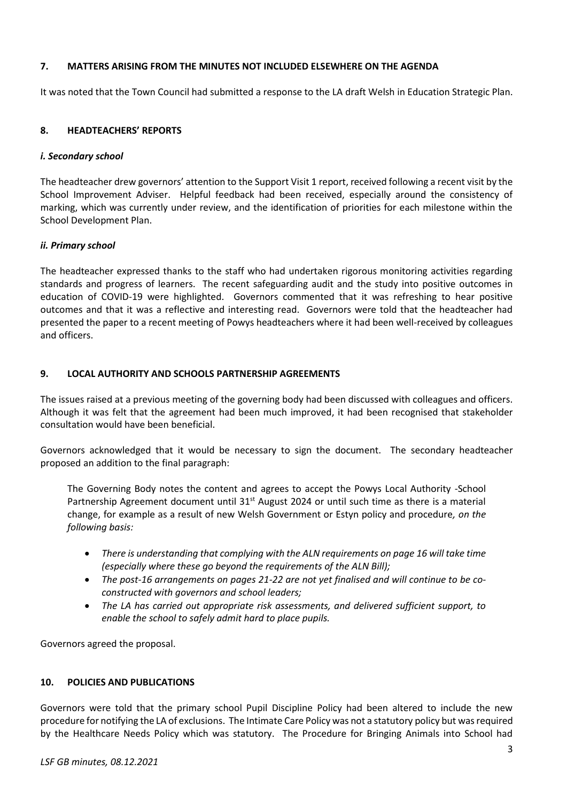## **7. MATTERS ARISING FROM THE MINUTES NOT INCLUDED ELSEWHERE ON THE AGENDA**

It was noted that the Town Council had submitted a response to the LA draft Welsh in Education Strategic Plan.

## **8. HEADTEACHERS' REPORTS**

## *i. Secondary school*

The headteacher drew governors' attention to the Support Visit 1 report, received following a recent visit by the School Improvement Adviser. Helpful feedback had been received, especially around the consistency of marking, which was currently under review, and the identification of priorities for each milestone within the School Development Plan.

## *ii. Primary school*

The headteacher expressed thanks to the staff who had undertaken rigorous monitoring activities regarding standards and progress of learners. The recent safeguarding audit and the study into positive outcomes in education of COVID-19 were highlighted. Governors commented that it was refreshing to hear positive outcomes and that it was a reflective and interesting read. Governors were told that the headteacher had presented the paper to a recent meeting of Powys headteachers where it had been well-received by colleagues and officers.

## **9. LOCAL AUTHORITY AND SCHOOLS PARTNERSHIP AGREEMENTS**

The issues raised at a previous meeting of the governing body had been discussed with colleagues and officers. Although it was felt that the agreement had been much improved, it had been recognised that stakeholder consultation would have been beneficial.

Governors acknowledged that it would be necessary to sign the document. The secondary headteacher proposed an addition to the final paragraph:

The Governing Body notes the content and agrees to accept the Powys Local Authority -School Partnership Agreement document until 31<sup>st</sup> August 2024 or until such time as there is a material change, for example as a result of new Welsh Government or Estyn policy and procedure*, on the following basis:*

- *There is understanding that complying with the ALN requirements on page 16 will take time (especially where these go beyond the requirements of the ALN Bill);*
- *The post-16 arrangements on pages 21-22 are not yet finalised and will continue to be coconstructed with governors and school leaders;*
- *The LA has carried out appropriate risk assessments, and delivered sufficient support, to enable the school to safely admit hard to place pupils.*

Governors agreed the proposal.

# **10. POLICIES AND PUBLICATIONS**

Governors were told that the primary school Pupil Discipline Policy had been altered to include the new procedure for notifying the LA of exclusions. The Intimate Care Policy was not a statutory policy but was required by the Healthcare Needs Policy which was statutory. The Procedure for Bringing Animals into School had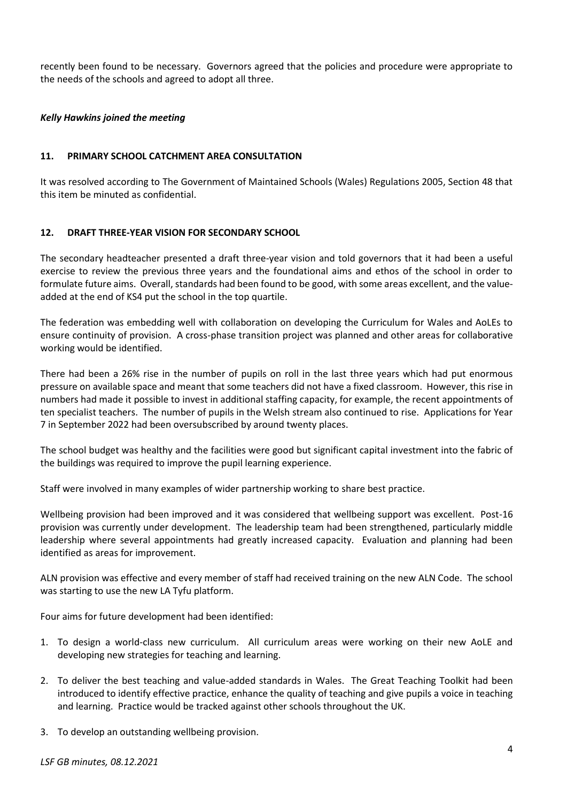recently been found to be necessary. Governors agreed that the policies and procedure were appropriate to the needs of the schools and agreed to adopt all three.

### *Kelly Hawkins joined the meeting*

#### **11. PRIMARY SCHOOL CATCHMENT AREA CONSULTATION**

It was resolved according to The Government of Maintained Schools (Wales) Regulations 2005, Section 48 that this item be minuted as confidential.

### **12. DRAFT THREE-YEAR VISION FOR SECONDARY SCHOOL**

The secondary headteacher presented a draft three-year vision and told governors that it had been a useful exercise to review the previous three years and the foundational aims and ethos of the school in order to formulate future aims. Overall, standards had been found to be good, with some areas excellent, and the valueadded at the end of KS4 put the school in the top quartile.

The federation was embedding well with collaboration on developing the Curriculum for Wales and AoLEs to ensure continuity of provision. A cross-phase transition project was planned and other areas for collaborative working would be identified.

There had been a 26% rise in the number of pupils on roll in the last three years which had put enormous pressure on available space and meant that some teachers did not have a fixed classroom. However, this rise in numbers had made it possible to invest in additional staffing capacity, for example, the recent appointments of ten specialist teachers. The number of pupils in the Welsh stream also continued to rise. Applications for Year 7 in September 2022 had been oversubscribed by around twenty places.

The school budget was healthy and the facilities were good but significant capital investment into the fabric of the buildings was required to improve the pupil learning experience.

Staff were involved in many examples of wider partnership working to share best practice.

Wellbeing provision had been improved and it was considered that wellbeing support was excellent. Post-16 provision was currently under development. The leadership team had been strengthened, particularly middle leadership where several appointments had greatly increased capacity. Evaluation and planning had been identified as areas for improvement.

ALN provision was effective and every member of staff had received training on the new ALN Code. The school was starting to use the new LA Tyfu platform.

Four aims for future development had been identified:

- 1. To design a world-class new curriculum. All curriculum areas were working on their new AoLE and developing new strategies for teaching and learning.
- 2. To deliver the best teaching and value-added standards in Wales. The Great Teaching Toolkit had been introduced to identify effective practice, enhance the quality of teaching and give pupils a voice in teaching and learning. Practice would be tracked against other schools throughout the UK.
- 3. To develop an outstanding wellbeing provision.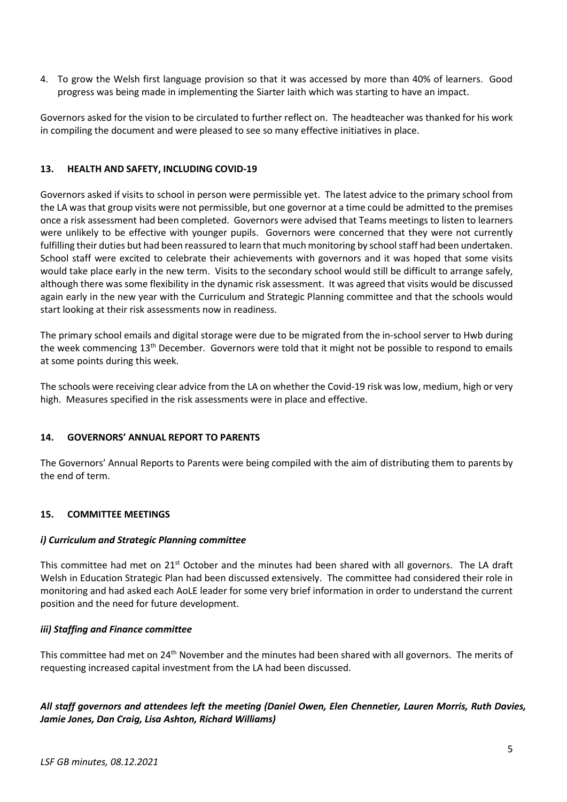4. To grow the Welsh first language provision so that it was accessed by more than 40% of learners. Good progress was being made in implementing the Siarter Iaith which was starting to have an impact.

Governors asked for the vision to be circulated to further reflect on. The headteacher was thanked for his work in compiling the document and were pleased to see so many effective initiatives in place.

## **13. HEALTH AND SAFETY, INCLUDING COVID-19**

Governors asked if visits to school in person were permissible yet. The latest advice to the primary school from the LA was that group visits were not permissible, but one governor at a time could be admitted to the premises once a risk assessment had been completed. Governors were advised that Teams meetings to listen to learners were unlikely to be effective with younger pupils. Governors were concerned that they were not currently fulfilling their duties but had been reassured to learn that much monitoring by school staff had been undertaken. School staff were excited to celebrate their achievements with governors and it was hoped that some visits would take place early in the new term. Visits to the secondary school would still be difficult to arrange safely, although there was some flexibility in the dynamic risk assessment. It was agreed that visits would be discussed again early in the new year with the Curriculum and Strategic Planning committee and that the schools would start looking at their risk assessments now in readiness.

The primary school emails and digital storage were due to be migrated from the in-school server to Hwb during the week commencing 13<sup>th</sup> December. Governors were told that it might not be possible to respond to emails at some points during this week.

The schools were receiving clear advice from the LA on whether the Covid-19 risk was low, medium, high or very high. Measures specified in the risk assessments were in place and effective.

# **14. GOVERNORS' ANNUAL REPORT TO PARENTS**

The Governors' Annual Reports to Parents were being compiled with the aim of distributing them to parents by the end of term.

# **15. COMMITTEE MEETINGS**

### *i) Curriculum and Strategic Planning committee*

This committee had met on 21<sup>st</sup> October and the minutes had been shared with all governors. The LA draft Welsh in Education Strategic Plan had been discussed extensively. The committee had considered their role in monitoring and had asked each AoLE leader for some very brief information in order to understand the current position and the need for future development.

### *iii) Staffing and Finance committee*

This committee had met on 24<sup>th</sup> November and the minutes had been shared with all governors. The merits of requesting increased capital investment from the LA had been discussed.

# *All staff governors and attendees left the meeting (Daniel Owen, Elen Chennetier, Lauren Morris, Ruth Davies, Jamie Jones, Dan Craig, Lisa Ashton, Richard Williams)*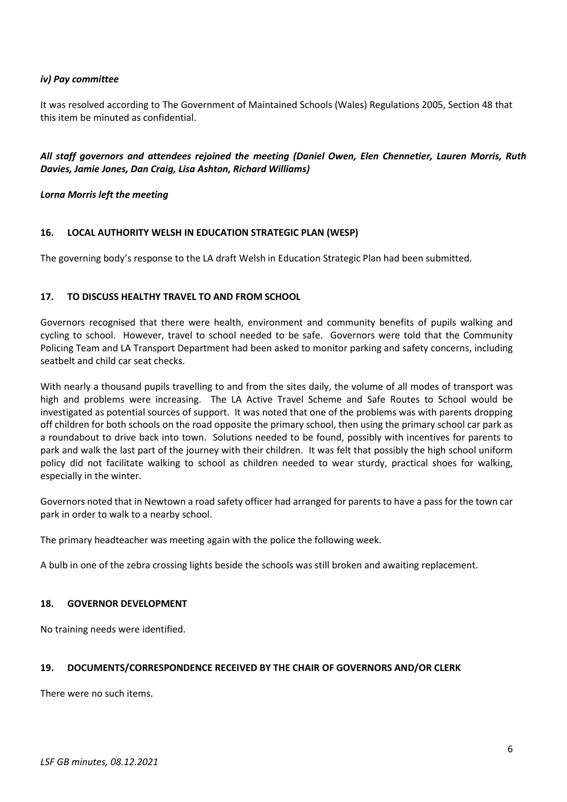## *iv) Pay committee*

It was resolved according to The Government of Maintained Schools (Wales) Regulations 2005, Section 48 that this item be minuted as confidential.

# *All staff governors and attendees rejoined the meeting (Daniel Owen, Elen Chennetier, Lauren Morris, Ruth Davies, Jamie Jones, Dan Craig, Lisa Ashton, Richard Williams)*

*Lorna Morris left the meeting*

## **16. LOCAL AUTHORITY WELSH IN EDUCATION STRATEGIC PLAN (WESP)**

The governing body's response to the LA draft Welsh in Education Strategic Plan had been submitted.

### **17. TO DISCUSS HEALTHY TRAVEL TO AND FROM SCHOOL**

Governors recognised that there were health, environment and community benefits of pupils walking and cycling to school. However, travel to school needed to be safe. Governors were told that the Community Policing Team and LA Transport Department had been asked to monitor parking and safety concerns, including seatbelt and child car seat checks.

With nearly a thousand pupils travelling to and from the sites daily, the volume of all modes of transport was high and problems were increasing. The LA Active Travel Scheme and Safe Routes to School would be investigated as potential sources of support. It was noted that one of the problems was with parents dropping off children for both schools on the road opposite the primary school, then using the primary school car park as a roundabout to drive back into town. Solutions needed to be found, possibly with incentives for parents to park and walk the last part of the journey with their children. It was felt that possibly the high school uniform policy did not facilitate walking to school as children needed to wear sturdy, practical shoes for walking, especially in the winter.

Governors noted that in Newtown a road safety officer had arranged for parents to have a pass for the town car park in order to walk to a nearby school.

The primary headteacher was meeting again with the police the following week.

A bulb in one of the zebra crossing lights beside the schools was still broken and awaiting replacement.

### **18. GOVERNOR DEVELOPMENT**

No training needs were identified.

### **19. DOCUMENTS/CORRESPONDENCE RECEIVED BY THE CHAIR OF GOVERNORS AND/OR CLERK**

There were no such items.